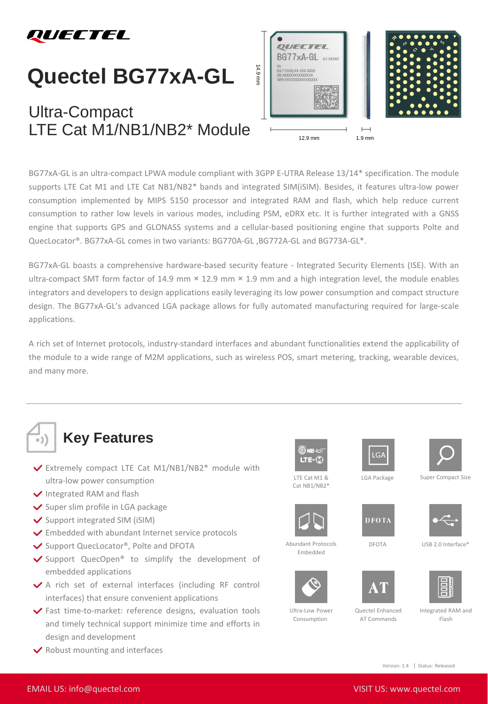

# **Quectel BG77xA-GL**

### Ultra-Compact LTE Cat M1/NB1/NB2\* Module



BG77xA-GL is an ultra-compact LPWA module compliant with 3GPP E-UTRA Release 13/14\* specification. The module supports LTE Cat M1 and LTE Cat NB1/NB2\* bands and integrated SIM(iSIM). Besides, it features ultra-low power consumption implemented by MIPS 5150 processor and integrated RAM and flash, which help reduce current consumption to rather low levels in various modes, including PSM, eDRX etc. It is further integrated with a GNSS engine that supports GPS and GLONASS systems and a cellular-based positioning engine that supports Polte and QuecLocator®. BG77xA-GL comes in two variants: BG770A-GL ,BG772A-GL and BG773A-GL\*.

BG77xA-GL boasts a comprehensive hardware-based security feature - Integrated Security Elements (ISE). With an ultra-compact SMT form factor of 14.9 mm  $\times$  12.9 mm  $\times$  1.9 mm and a high integration level, the module enables integrators and developers to design applications easily leveraging its low power consumption and compact structure design. The BG77xA-GL's advanced LGA package allows for fully automated manufacturing required for large-scale applications.

A rich set of Internet protocols, industry-standard interfaces and abundant functionalities extend the applicability of the module to a wide range of M2M applications, such as wireless POS, smart metering, tracking, wearable devices, and many more.



#### **Key Features**

- Extremely compact LTE Cat M1/NB1/NB2\* module with ultra-low power consumption
- Integrated RAM and flash
- $\vee$  Super slim profile in LGA package
- $\checkmark$  Support integrated SIM (iSIM)
- Embedded with abundant Internet service protocols
- ◆ Support QuecLocator®, Polte and DFOTA
- ◆ Support QuecOpen<sup>®</sup> to simplify the development of embedded applications
- A rich set of external interfaces (including RF control interfaces) that ensure convenient applications
- Fast time-to-market: reference designs, evaluation tools and timely technical support minimize time and efforts in design and development
- $\vee$  Robust mounting and interfaces







LGA Package Super Compact Size



Abundant Protocols Embedded

Cat NB1/NB2\*















Quectel Enhanced AT Commands



Integrated RAM and Flash

Version: 1.4 | Status: Released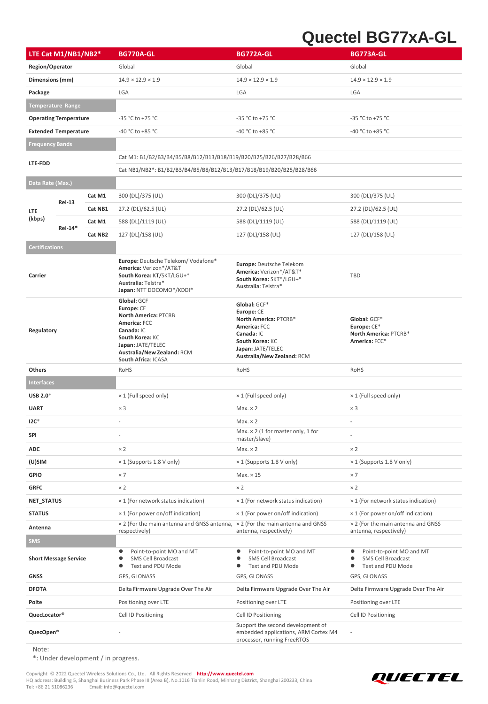## **Quectel BG77xA-GL**

| LTE Cat M1/NB1/NB2*          |                             |                                                                   | <b>BG770A-GL</b>                                                                                                                             | <b>BG772A-GL</b>                                                                                                                                                                    | BG773A-GL                                                                                                                                               |                                                                            |                                          |  |
|------------------------------|-----------------------------|-------------------------------------------------------------------|----------------------------------------------------------------------------------------------------------------------------------------------|-------------------------------------------------------------------------------------------------------------------------------------------------------------------------------------|---------------------------------------------------------------------------------------------------------------------------------------------------------|----------------------------------------------------------------------------|------------------------------------------|--|
| Region/Operator              |                             |                                                                   | Global                                                                                                                                       |                                                                                                                                                                                     | Global                                                                                                                                                  | Global                                                                     |                                          |  |
| Dimensions (mm)              |                             |                                                                   | $14.9 \times 12.9 \times 1.9$                                                                                                                | $14.9 \times 12.9 \times 1.9$                                                                                                                                                       | $14.9 \times 12.9 \times 1.9$                                                                                                                           |                                                                            |                                          |  |
| Package                      |                             | LGA                                                               |                                                                                                                                              | LGA                                                                                                                                                                                 | LGA                                                                                                                                                     |                                                                            |                                          |  |
|                              | Temperature Range           |                                                                   |                                                                                                                                              |                                                                                                                                                                                     |                                                                                                                                                         |                                                                            |                                          |  |
| <b>Operating Temperature</b> |                             |                                                                   |                                                                                                                                              | -35 °C to +75 °C                                                                                                                                                                    | -35 °C to +75 °C                                                                                                                                        |                                                                            | -35 °C to +75 °C                         |  |
|                              | <b>Extended Temperature</b> |                                                                   |                                                                                                                                              | -40 °C to +85 °C                                                                                                                                                                    | -40 °C to +85 °C                                                                                                                                        |                                                                            | -40 °C to +85 °C                         |  |
| <b>Frequency Bands</b>       |                             |                                                                   |                                                                                                                                              |                                                                                                                                                                                     |                                                                                                                                                         |                                                                            |                                          |  |
|                              |                             | Cat M1: B1/B2/B3/B4/B5/B8/B12/B13/B18/B19/B20/B25/B26/B27/B28/B66 |                                                                                                                                              |                                                                                                                                                                                     |                                                                                                                                                         |                                                                            |                                          |  |
| LTE-FDD                      |                             |                                                                   | Cat NB1/NB2*: B1/B2/B3/B4/B5/B8/B12/B13/B17/B18/B19/B20/B25/B28/B66                                                                          |                                                                                                                                                                                     |                                                                                                                                                         |                                                                            |                                          |  |
| Data Rate (Max.)             |                             |                                                                   |                                                                                                                                              |                                                                                                                                                                                     |                                                                                                                                                         |                                                                            |                                          |  |
|                              |                             | Cat M1                                                            |                                                                                                                                              | 300 (DL)/375 (UL)                                                                                                                                                                   | 300 (DL)/375 (UL)                                                                                                                                       |                                                                            | 300 (DL)/375 (UL)                        |  |
| <b>LTE</b><br>(kbps)         | <b>Rel-13</b>               | Cat NB1                                                           |                                                                                                                                              | 27.2 (DL)/62.5 (UL)                                                                                                                                                                 | 27.2 (DL)/62.5 (UL)                                                                                                                                     |                                                                            | 27.2 (DL)/62.5 (UL)                      |  |
|                              |                             | Cat M1                                                            |                                                                                                                                              | 588 (DL)/1119 (UL)                                                                                                                                                                  | 588 (DL)/1119 (UL)                                                                                                                                      |                                                                            | 588 (DL)/1119 (UL)                       |  |
|                              | Rel-14*<br>Cat NB2          |                                                                   |                                                                                                                                              | 127 (DL)/158 (UL)                                                                                                                                                                   | 127 (DL)/158 (UL)                                                                                                                                       |                                                                            | 127 (DL)/158 (UL)                        |  |
| <b>Certifications</b>        |                             |                                                                   |                                                                                                                                              |                                                                                                                                                                                     |                                                                                                                                                         |                                                                            |                                          |  |
| Carrier                      |                             |                                                                   | Europe: Deutsche Telekom/Vodafone*<br>America: Verizon*/AT&T<br>South Korea: KT/SKT/LGU+*<br>Australia: Telstra*<br>Japan: NTT DOCOMO*/KDDI* | Europe: Deutsche Telekom<br>America: Verizon*/AT&T*<br>South Korea: SKT*/LGU+*<br>Australia: Telstra*                                                                               | <b>TBD</b>                                                                                                                                              |                                                                            |                                          |  |
| Regulatory                   |                             |                                                                   |                                                                                                                                              | Global: GCF<br>Europe: CE<br><b>North America: PTCRB</b><br>America: FCC<br>Canada: IC<br>South Korea: KC<br>Japan: JATE/TELEC<br>Australia/New Zealand: RCM<br>South Africa: ICASA | Global: GCF*<br>Europe: CE<br>North America: PTCRB*<br>America: FCC<br>Canada: IC<br>South Korea: KC<br>Japan: JATE/TELEC<br>Australia/New Zealand: RCM | Global: GCF*<br>Europe: CE*<br>North America: PTCRB*<br>America: FCC*      |                                          |  |
| Others                       |                             |                                                                   | RoHS                                                                                                                                         |                                                                                                                                                                                     | RoHS                                                                                                                                                    | RoHS                                                                       |                                          |  |
| <b>Interfaces</b>            |                             |                                                                   |                                                                                                                                              |                                                                                                                                                                                     |                                                                                                                                                         |                                                                            |                                          |  |
| USB 2.0*                     |                             |                                                                   | $\times$ 1 (Full speed only)                                                                                                                 | $\times$ 1 (Full speed only)                                                                                                                                                        |                                                                                                                                                         | $\times$ 1 (Full speed only)                                               |                                          |  |
| <b>UART</b>                  |                             | $\times 3$                                                        |                                                                                                                                              | Max. × 2                                                                                                                                                                            | $\times$ 3                                                                                                                                              |                                                                            |                                          |  |
| $12C*$                       |                             | $\overline{a}$                                                    |                                                                                                                                              | Max. × 2<br>÷,                                                                                                                                                                      |                                                                                                                                                         |                                                                            |                                          |  |
| SPI                          |                             |                                                                   |                                                                                                                                              | Max. $\times$ 2 (1 for master only, 1 for<br>master/slave)                                                                                                                          |                                                                                                                                                         |                                                                            |                                          |  |
| <b>ADC</b>                   |                             |                                                                   | $\times 2$                                                                                                                                   |                                                                                                                                                                                     | Max. × 2                                                                                                                                                | $\times 2$                                                                 |                                          |  |
| (U)SIM                       |                             |                                                                   |                                                                                                                                              | × 1 (Supports 1.8 V only)                                                                                                                                                           | × 1 (Supports 1.8 V only)                                                                                                                               |                                                                            | × 1 (Supports 1.8 V only)                |  |
| <b>GPIO</b>                  |                             | $\times$ 7                                                        |                                                                                                                                              | Max. × 15                                                                                                                                                                           |                                                                                                                                                         |                                                                            |                                          |  |
| <b>GRFC</b>                  |                             |                                                                   | $\times 2$                                                                                                                                   |                                                                                                                                                                                     | $\times 2$                                                                                                                                              | $\times 2$                                                                 |                                          |  |
| <b>NET_STATUS</b>            |                             |                                                                   |                                                                                                                                              | × 1 (For network status indication)                                                                                                                                                 | × 1 (For network status indication)                                                                                                                     |                                                                            | × 1 (For network status indication)      |  |
| <b>STATUS</b>                |                             |                                                                   |                                                                                                                                              | × 1 (For power on/off indication)                                                                                                                                                   | × 1 (For power on/off indication)                                                                                                                       |                                                                            | $\times$ 1 (For power on/off indication) |  |
| Antenna                      |                             |                                                                   | × 2 (For the main antenna and GNSS antenna,<br>respectively)                                                                                 | × 2 (For the main antenna and GNSS<br>antenna, respectively)                                                                                                                        |                                                                                                                                                         | × 2 (For the main antenna and GNSS<br>antenna, respectively)               |                                          |  |
| <b>SMS</b>                   |                             |                                                                   |                                                                                                                                              |                                                                                                                                                                                     |                                                                                                                                                         |                                                                            |                                          |  |
| <b>Short Message Service</b> |                             |                                                                   | Point-to-point MO and MT<br>SMS Cell Broadcast<br>Text and PDU Mode                                                                          | Point-to-point MO and MT<br>SMS Cell Broadcast<br>$\bullet$<br>Text and PDU Mode                                                                                                    | $\bullet$<br>$\bullet$<br>$\bullet$                                                                                                                     | Point-to-point MO and MT<br><b>SMS Cell Broadcast</b><br>Text and PDU Mode |                                          |  |
| <b>GNSS</b>                  |                             | GPS, GLONASS                                                      |                                                                                                                                              | GPS, GLONASS                                                                                                                                                                        |                                                                                                                                                         | GPS, GLONASS                                                               |                                          |  |
| <b>DFOTA</b>                 |                             | Delta Firmware Upgrade Over The Air                               |                                                                                                                                              | Delta Firmware Upgrade Over The Air                                                                                                                                                 |                                                                                                                                                         | Delta Firmware Upgrade Over The Air                                        |                                          |  |
| Polte                        |                             | Positioning over LTE                                              |                                                                                                                                              | Positioning over LTE                                                                                                                                                                |                                                                                                                                                         | Positioning over LTE                                                       |                                          |  |
| QuecLocator®                 |                             | Cell ID Positioning                                               |                                                                                                                                              | Cell ID Positioning                                                                                                                                                                 |                                                                                                                                                         | Cell ID Positioning                                                        |                                          |  |
| QuecOpen®                    |                             |                                                                   |                                                                                                                                              | Support the second development of<br>embedded applications, ARM Cortex M4<br>processor, running FreeRTOS                                                                            |                                                                                                                                                         |                                                                            |                                          |  |

Note:

\*: Under development / in progress.